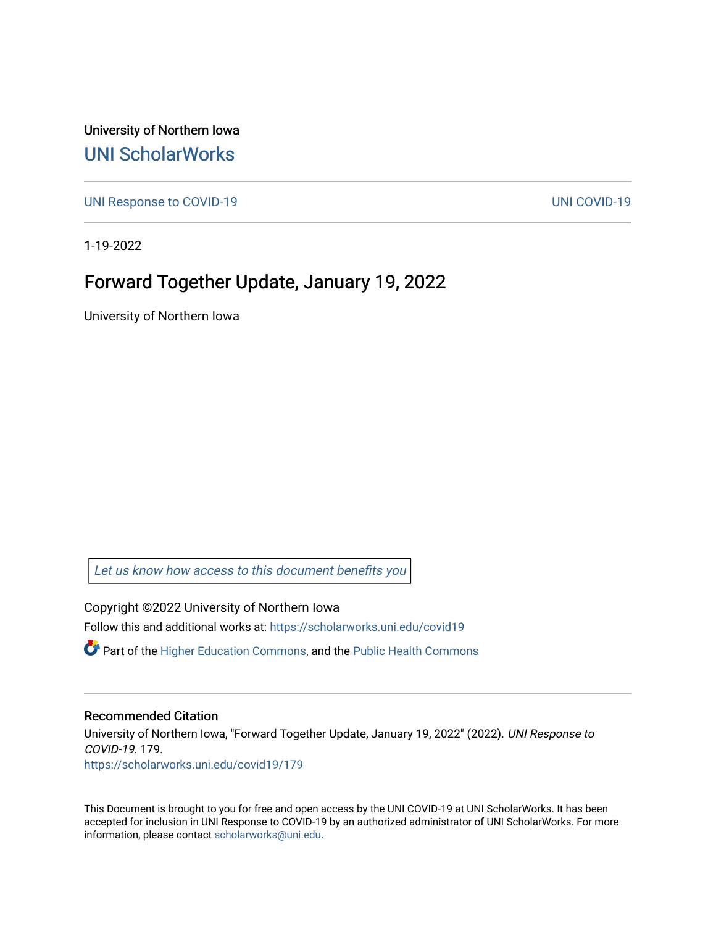University of Northern Iowa [UNI ScholarWorks](https://scholarworks.uni.edu/) 

[UNI Response to COVID-19](https://scholarworks.uni.edu/covid19) [UNI COVID-19](https://scholarworks.uni.edu/covid) 

1-19-2022

#### Forward Together Update, January 19, 2022

University of Northern Iowa

[Let us know how access to this document benefits you](https://scholarworks.uni.edu/feedback_form.html) 

Copyright ©2022 University of Northern Iowa Follow this and additional works at: [https://scholarworks.uni.edu/covid19](https://scholarworks.uni.edu/covid19?utm_source=scholarworks.uni.edu%2Fcovid19%2F179&utm_medium=PDF&utm_campaign=PDFCoverPages)

 $\bullet$  Part of the [Higher Education Commons,](http://network.bepress.com/hgg/discipline/1245?utm_source=scholarworks.uni.edu%2Fcovid19%2F179&utm_medium=PDF&utm_campaign=PDFCoverPages) and the Public Health Commons

#### Recommended Citation

University of Northern Iowa, "Forward Together Update, January 19, 2022" (2022). UNI Response to COVID-19. 179. [https://scholarworks.uni.edu/covid19/179](https://scholarworks.uni.edu/covid19/179?utm_source=scholarworks.uni.edu%2Fcovid19%2F179&utm_medium=PDF&utm_campaign=PDFCoverPages)

This Document is brought to you for free and open access by the UNI COVID-19 at UNI ScholarWorks. It has been accepted for inclusion in UNI Response to COVID-19 by an authorized administrator of UNI ScholarWorks. For more information, please contact [scholarworks@uni.edu.](mailto:scholarworks@uni.edu)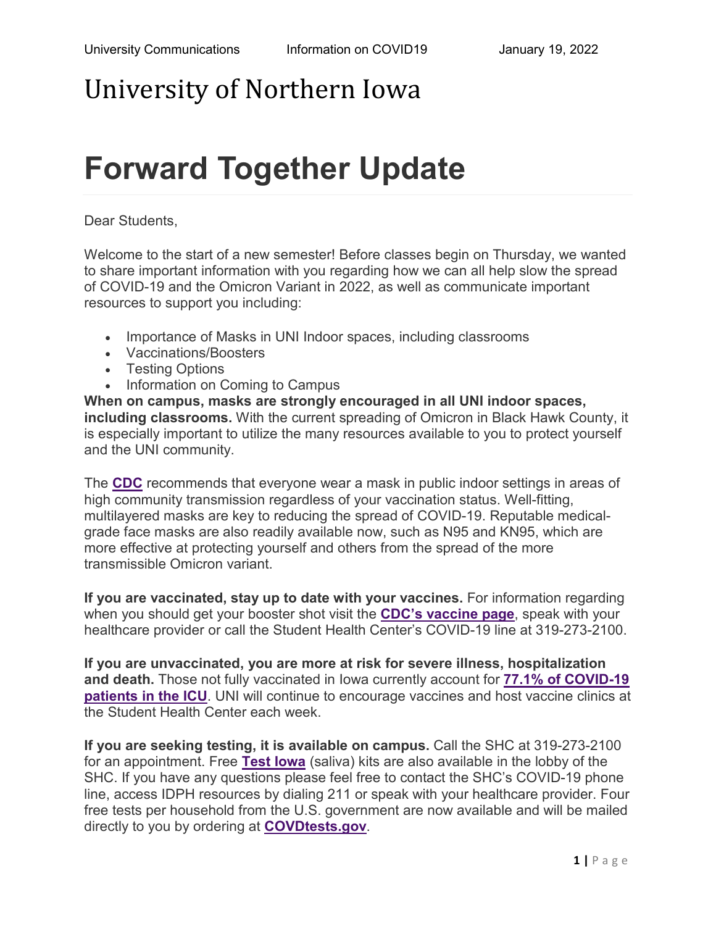### University of Northern Iowa

# **Forward Together Update**

Dear Students,

Welcome to the start of a new semester! Before classes begin on Thursday, we wanted to share important information with you regarding how we can all help slow the spread of COVID-19 and the Omicron Variant in 2022, as well as communicate important resources to support you including:

- Importance of Masks in UNI Indoor spaces, including classrooms
- Vaccinations/Boosters
- Testing Options
- Information on Coming to Campus

**When on campus, masks are strongly encouraged in all UNI indoor spaces, including classrooms.** With the current spreading of Omicron in Black Hawk County, it is especially important to utilize the many resources available to you to protect yourself and the UNI community.

The **[CDC](https://www.cdc.gov/coronavirus/2019-ncov/variants/omicron-variant.html?utm_source=MC&utm_medium=email&utm_campaign=forward_together)** recommends that everyone wear a mask in public indoor settings in areas of high community transmission regardless of your vaccination status. Well-fitting, multilayered masks are key to reducing the spread of COVID-19. Reputable medicalgrade face masks are also readily available now, such as N95 and KN95, which are more effective at protecting yourself and others from the spread of the more transmissible Omicron variant.

**If you are vaccinated, stay up to date with your vaccines.** For information regarding when you should get your booster shot visit the **[CDC's vaccine page](https://www.cdc.gov/coronavirus/2019-ncov/vaccines/stay-up-to-date.html?utm_source=MC&utm_medium=email&utm_campaign=forward_together)**, speak with your healthcare provider or call the Student Health Center's COVID-19 line at 319-273-2100.

**If you are unvaccinated, you are more at risk for severe illness, hospitalization and death.** Those not fully vaccinated in Iowa currently account for **[77.1% of COVID-19](https://coronavirus.iowa.gov/?utm_source=MC&utm_medium=email&utm_campaign=forward_together)  [patients in the ICU](https://coronavirus.iowa.gov/?utm_source=MC&utm_medium=email&utm_campaign=forward_together)**. UNI will continue to encourage vaccines and host vaccine clinics at the Student Health Center each week.

**If you are seeking testing, it is available on campus.** Call the SHC at 319-273-2100 for an appointment. Free **[Test Iowa](https://www.testiowa.com/en?utm_source=MC&utm_medium=email&utm_campaign=forward_together)** (saliva) kits are also available in the lobby of the SHC. If you have any questions please feel free to contact the SHC's COVID-19 phone line, access IDPH resources by dialing 211 or speak with your healthcare provider. Four free tests per household from the U.S. government are now available and will be mailed directly to you by ordering at **[COVDtests.gov](https://www.covidtests.gov/?utm_source=MC&utm_medium=email&utm_campaign=forward_together)**.